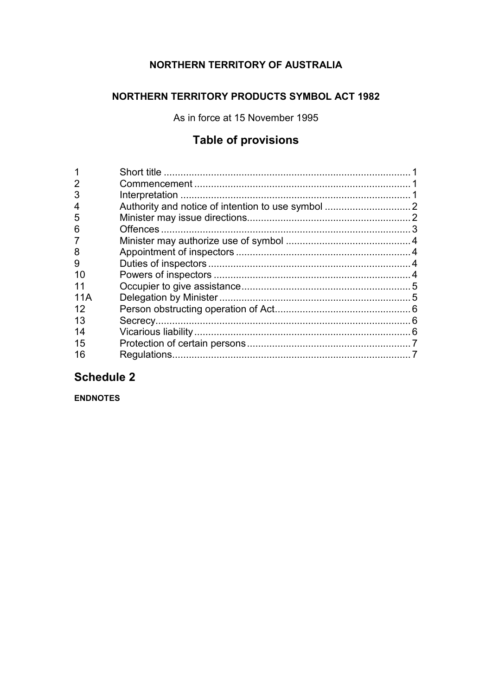# **NORTHERN TERRITORY OF AUSTRALIA**

## **NORTHERN TERRITORY PRODUCTS SYMBOL ACT 1982**

As in force at 15 November 1995

# **Table of provisions**

| 2<br>3 |  |
|--------|--|
| 4      |  |
| 5      |  |
| 6      |  |
| 7      |  |
| 8      |  |
| 9      |  |
| 10     |  |
|        |  |
| 11A    |  |
| 12     |  |
| 13     |  |
| 14     |  |
| 15     |  |
| 16     |  |

# **Schedule 2**

**ENDNOTES**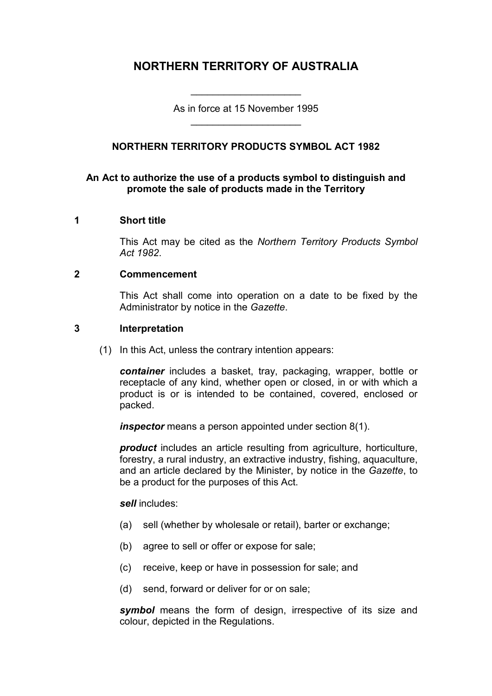## **NORTHERN TERRITORY OF AUSTRALIA**

As in force at 15 November 1995 \_\_\_\_\_\_\_\_\_\_\_\_\_\_\_\_\_\_\_\_

\_\_\_\_\_\_\_\_\_\_\_\_\_\_\_\_\_\_\_\_

## **NORTHERN TERRITORY PRODUCTS SYMBOL ACT 1982**

#### **An Act to authorize the use of a products symbol to distinguish and promote the sale of products made in the Territory**

#### **1 Short title**

This Act may be cited as the *Northern Territory Products Symbol Act 1982*.

#### **2 Commencement**

This Act shall come into operation on a date to be fixed by the Administrator by notice in the *Gazette*.

#### **3 Interpretation**

(1) In this Act, unless the contrary intention appears:

*container* includes a basket, tray, packaging, wrapper, bottle or receptacle of any kind, whether open or closed, in or with which a product is or is intended to be contained, covered, enclosed or packed.

*inspector* means a person appointed under section 8(1).

*product* includes an article resulting from agriculture, horticulture, forestry, a rural industry, an extractive industry, fishing, aquaculture, and an article declared by the Minister, by notice in the *Gazette*, to be a product for the purposes of this Act.

*sell* includes:

- (a) sell (whether by wholesale or retail), barter or exchange;
- (b) agree to sell or offer or expose for sale;
- (c) receive, keep or have in possession for sale; and
- (d) send, forward or deliver for or on sale;

*symbol* means the form of design, irrespective of its size and colour, depicted in the Regulations.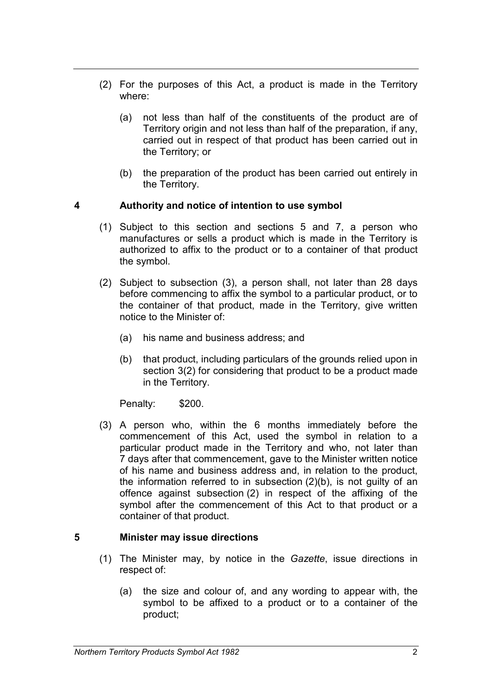- (2) For the purposes of this Act, a product is made in the Territory where:
	- (a) not less than half of the constituents of the product are of Territory origin and not less than half of the preparation, if any, carried out in respect of that product has been carried out in the Territory; or
	- (b) the preparation of the product has been carried out entirely in the Territory.

#### **4 Authority and notice of intention to use symbol**

- (1) Subject to this section and sections 5 and 7, a person who manufactures or sells a product which is made in the Territory is authorized to affix to the product or to a container of that product the symbol.
- (2) Subject to subsection (3), a person shall, not later than 28 days before commencing to affix the symbol to a particular product, or to the container of that product, made in the Territory, give written notice to the Minister of:
	- (a) his name and business address; and
	- (b) that product, including particulars of the grounds relied upon in section 3(2) for considering that product to be a product made in the Territory.

Penalty: \$200.

(3) A person who, within the 6 months immediately before the commencement of this Act, used the symbol in relation to a particular product made in the Territory and who, not later than 7 days after that commencement, gave to the Minister written notice of his name and business address and, in relation to the product, the information referred to in subsection (2)(b), is not guilty of an offence against subsection (2) in respect of the affixing of the symbol after the commencement of this Act to that product or a container of that product.

## **5 Minister may issue directions**

- (1) The Minister may, by notice in the *Gazette*, issue directions in respect of:
	- (a) the size and colour of, and any wording to appear with, the symbol to be affixed to a product or to a container of the product;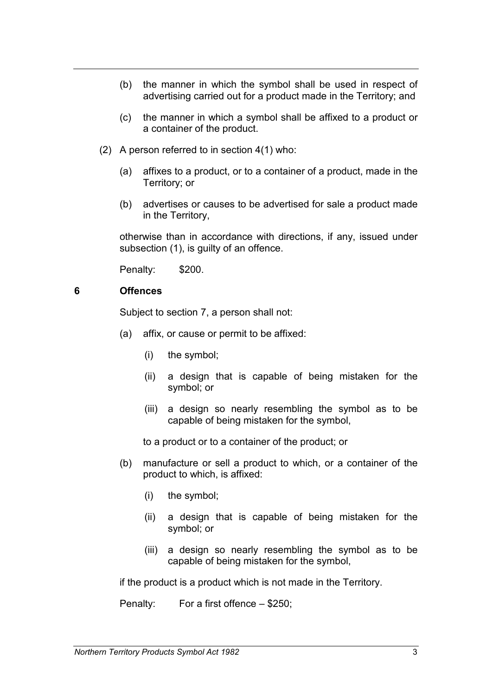- (b) the manner in which the symbol shall be used in respect of advertising carried out for a product made in the Territory; and
- (c) the manner in which a symbol shall be affixed to a product or a container of the product.
- (2) A person referred to in section 4(1) who:
	- (a) affixes to a product, or to a container of a product, made in the Territory; or
	- (b) advertises or causes to be advertised for sale a product made in the Territory,

otherwise than in accordance with directions, if any, issued under subsection (1), is guilty of an offence.

Penalty: \$200.

#### **6 Offences**

Subject to section 7, a person shall not:

- (a) affix, or cause or permit to be affixed:
	- (i) the symbol;
	- (ii) a design that is capable of being mistaken for the symbol; or
	- (iii) a design so nearly resembling the symbol as to be capable of being mistaken for the symbol,

to a product or to a container of the product; or

- (b) manufacture or sell a product to which, or a container of the product to which, is affixed:
	- (i) the symbol;
	- (ii) a design that is capable of being mistaken for the symbol; or
	- (iii) a design so nearly resembling the symbol as to be capable of being mistaken for the symbol,

if the product is a product which is not made in the Territory.

Penalty: For a first offence – \$250;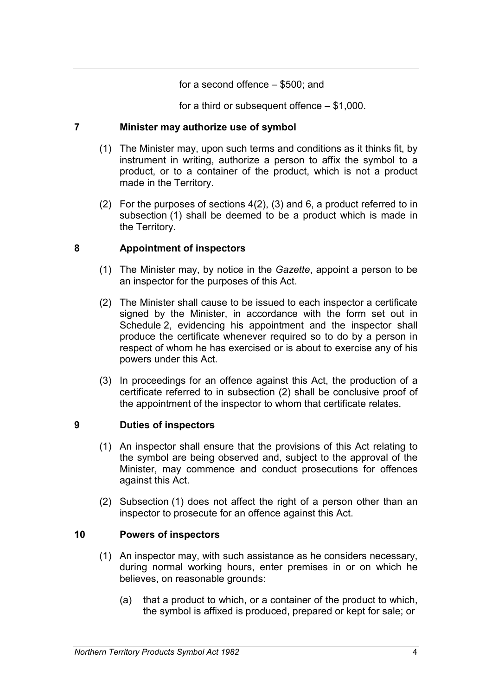#### for a second offence – \$500; and

for a third or subsequent offence – \$1,000.

#### **7 Minister may authorize use of symbol**

- (1) The Minister may, upon such terms and conditions as it thinks fit, by instrument in writing, authorize a person to affix the symbol to a product, or to a container of the product, which is not a product made in the Territory.
- (2) For the purposes of sections 4(2), (3) and 6, a product referred to in subsection (1) shall be deemed to be a product which is made in the Territory.

#### **8 Appointment of inspectors**

- (1) The Minister may, by notice in the *Gazette*, appoint a person to be an inspector for the purposes of this Act.
- (2) The Minister shall cause to be issued to each inspector a certificate signed by the Minister, in accordance with the form set out in Schedule 2, evidencing his appointment and the inspector shall produce the certificate whenever required so to do by a person in respect of whom he has exercised or is about to exercise any of his powers under this Act.
- (3) In proceedings for an offence against this Act, the production of a certificate referred to in subsection (2) shall be conclusive proof of the appointment of the inspector to whom that certificate relates.

## **9 Duties of inspectors**

- (1) An inspector shall ensure that the provisions of this Act relating to the symbol are being observed and, subject to the approval of the Minister, may commence and conduct prosecutions for offences against this Act.
- (2) Subsection (1) does not affect the right of a person other than an inspector to prosecute for an offence against this Act.

## **10 Powers of inspectors**

- (1) An inspector may, with such assistance as he considers necessary, during normal working hours, enter premises in or on which he believes, on reasonable grounds:
	- (a) that a product to which, or a container of the product to which, the symbol is affixed is produced, prepared or kept for sale; or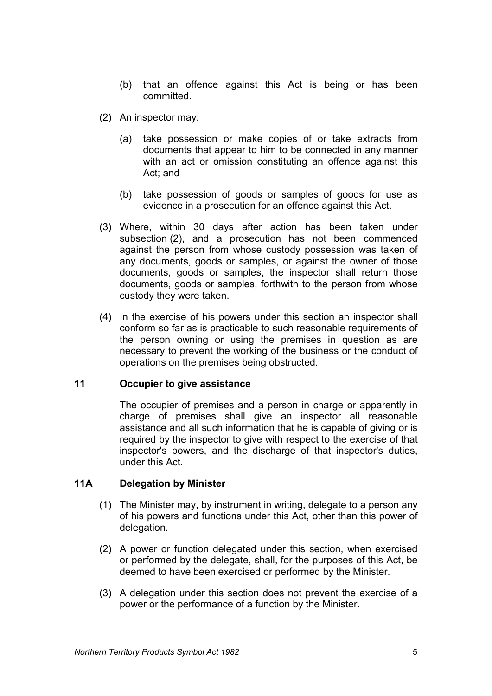- (b) that an offence against this Act is being or has been committed.
- (2) An inspector may:
	- (a) take possession or make copies of or take extracts from documents that appear to him to be connected in any manner with an act or omission constituting an offence against this Act; and
	- (b) take possession of goods or samples of goods for use as evidence in a prosecution for an offence against this Act.
- (3) Where, within 30 days after action has been taken under subsection (2), and a prosecution has not been commenced against the person from whose custody possession was taken of any documents, goods or samples, or against the owner of those documents, goods or samples, the inspector shall return those documents, goods or samples, forthwith to the person from whose custody they were taken.
- (4) In the exercise of his powers under this section an inspector shall conform so far as is practicable to such reasonable requirements of the person owning or using the premises in question as are necessary to prevent the working of the business or the conduct of operations on the premises being obstructed.

#### **11 Occupier to give assistance**

The occupier of premises and a person in charge or apparently in charge of premises shall give an inspector all reasonable assistance and all such information that he is capable of giving or is required by the inspector to give with respect to the exercise of that inspector's powers, and the discharge of that inspector's duties, under this Act.

## **11A Delegation by Minister**

- (1) The Minister may, by instrument in writing, delegate to a person any of his powers and functions under this Act, other than this power of delegation.
- (2) A power or function delegated under this section, when exercised or performed by the delegate, shall, for the purposes of this Act, be deemed to have been exercised or performed by the Minister.
- (3) A delegation under this section does not prevent the exercise of a power or the performance of a function by the Minister.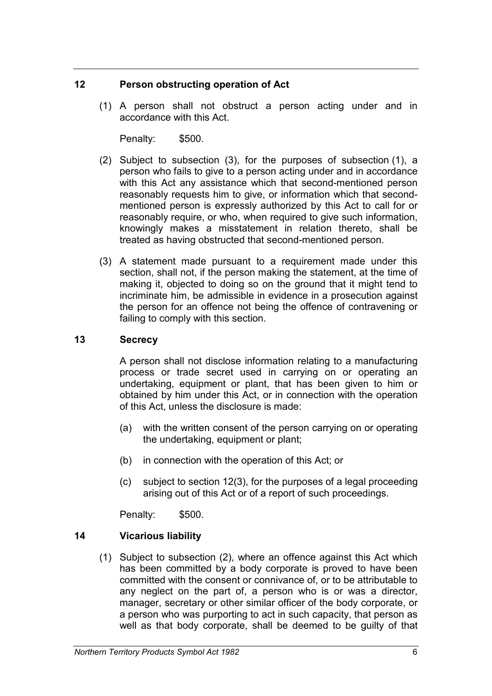#### **12 Person obstructing operation of Act**

(1) A person shall not obstruct a person acting under and in accordance with this Act.

Penalty: \$500.

- (2) Subject to subsection (3), for the purposes of subsection (1), a person who fails to give to a person acting under and in accordance with this Act any assistance which that second-mentioned person reasonably requests him to give, or information which that secondmentioned person is expressly authorized by this Act to call for or reasonably require, or who, when required to give such information, knowingly makes a misstatement in relation thereto, shall be treated as having obstructed that second-mentioned person.
- (3) A statement made pursuant to a requirement made under this section, shall not, if the person making the statement, at the time of making it, objected to doing so on the ground that it might tend to incriminate him, be admissible in evidence in a prosecution against the person for an offence not being the offence of contravening or failing to comply with this section.

#### **13 Secrecy**

A person shall not disclose information relating to a manufacturing process or trade secret used in carrying on or operating an undertaking, equipment or plant, that has been given to him or obtained by him under this Act, or in connection with the operation of this Act, unless the disclosure is made:

- (a) with the written consent of the person carrying on or operating the undertaking, equipment or plant;
- (b) in connection with the operation of this Act; or
- (c) subject to section 12(3), for the purposes of a legal proceeding arising out of this Act or of a report of such proceedings.

Penalty: \$500.

## **14 Vicarious liability**

(1) Subject to subsection (2), where an offence against this Act which has been committed by a body corporate is proved to have been committed with the consent or connivance of, or to be attributable to any neglect on the part of, a person who is or was a director, manager, secretary or other similar officer of the body corporate, or a person who was purporting to act in such capacity, that person as well as that body corporate, shall be deemed to be guilty of that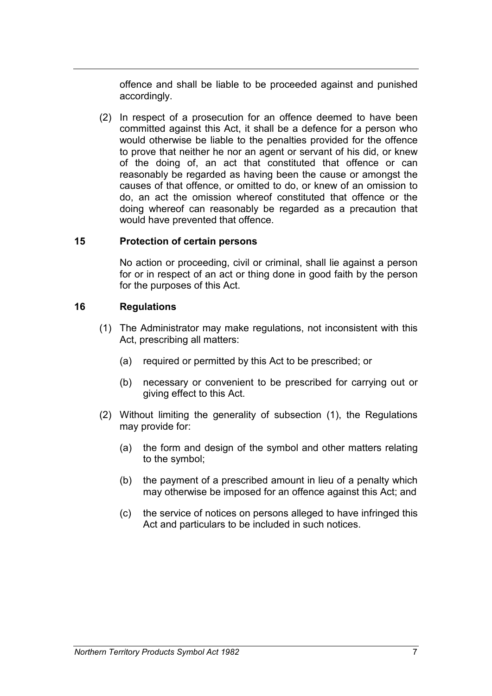offence and shall be liable to be proceeded against and punished accordingly.

(2) In respect of a prosecution for an offence deemed to have been committed against this Act, it shall be a defence for a person who would otherwise be liable to the penalties provided for the offence to prove that neither he nor an agent or servant of his did, or knew of the doing of, an act that constituted that offence or can reasonably be regarded as having been the cause or amongst the causes of that offence, or omitted to do, or knew of an omission to do, an act the omission whereof constituted that offence or the doing whereof can reasonably be regarded as a precaution that would have prevented that offence.

#### **15 Protection of certain persons**

No action or proceeding, civil or criminal, shall lie against a person for or in respect of an act or thing done in good faith by the person for the purposes of this Act.

## **16 Regulations**

- (1) The Administrator may make regulations, not inconsistent with this Act, prescribing all matters:
	- (a) required or permitted by this Act to be prescribed; or
	- (b) necessary or convenient to be prescribed for carrying out or giving effect to this Act.
- (2) Without limiting the generality of subsection (1), the Regulations may provide for:
	- (a) the form and design of the symbol and other matters relating to the symbol;
	- (b) the payment of a prescribed amount in lieu of a penalty which may otherwise be imposed for an offence against this Act; and
	- (c) the service of notices on persons alleged to have infringed this Act and particulars to be included in such notices.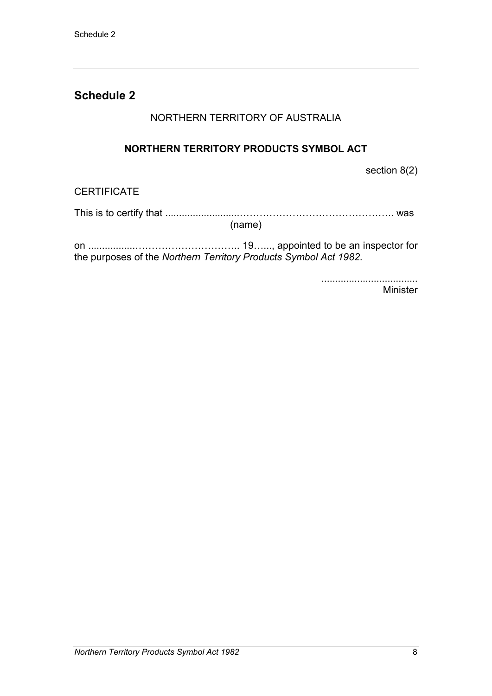## **Schedule 2**

## NORTHERN TERRITORY OF AUSTRALIA

## **NORTHERN TERRITORY PRODUCTS SYMBOL ACT**

section 8(2)

## **CERTIFICATE**

This is to certify that ...........................……………………………………….. was

(name)

on .................………………………….. 19…..., appointed to be an inspector for the purposes of the *Northern Territory Products Symbol Act 1982*.

> ................................... Minister